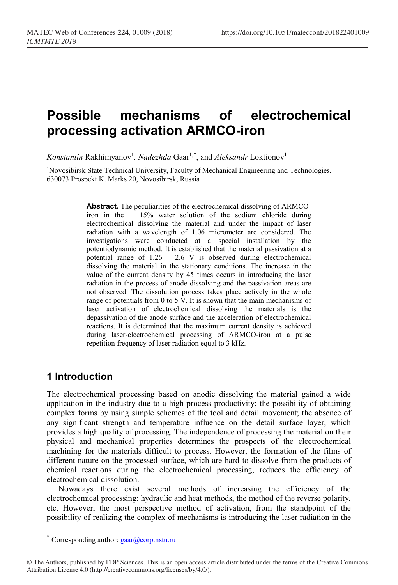# **Possible mechanisms оf electrochemical processing activation ARMCO-iron**

 $K$ *onstantin* Rakhimyanov<sup>1</sup>, *Nadezhda* Gaar<sup>1,[\\*](#page-0-0)</sup>, and *Aleksandr* Loktionov<sup>1</sup>

<sup>1</sup>Novosibirsk State Technical University, Faculty of Mechanical Engineering and Technologies, 630073 Prospekt K. Marks 20, Novosibirsk, Russia

> **Abstract.** The peculiarities of the electrochemical dissolving of ARMCO-<br>iron in the 15% water solution of the sodium chloride during 15% water solution of the sodium chloride during electrochemical dissolving the material and under the impact of laser radiation with a wavelength of 1.06 micrometer are considered. The investigations were conducted at a special installation by the potentiodynamic method. It is established that the material passivation at a potential range of 1.26 – 2.6 V is observed during electrochemical dissolving the material in the stationary conditions. The increase in the value of the current density by 45 times occurs in introducing the laser radiation in the process of anode dissolving and the passivation areas are not observed. The dissolution process takes place actively in the whole range of potentials from 0 to 5 V. It is shown that the main mechanisms of laser activation of electrochemical dissolving the materials is the depassivation of the anode surface and the acceleration of electrochemical reactions. It is determined that the maximum current density is achieved during laser-electrochemical processing of ARMCO-iron at a pulse repetition frequency of laser radiation equal to 3 kHz.

## **1 Introduction**

 $\overline{a}$ 

The electrochemical processing based on anodic dissolving the material gained a wide application in the industry due to a high process productivity; the possibility of obtaining complex forms by using simple schemes of the tool and detail movement; the absence of any significant strength and temperature influence on the detail surface layer, which provides a high quality of processing. The independence of processing the material on their physical and mechanical properties determines the prospects of the electrochemical machining for the materials difficult to process. However, the formation of the films of different nature on the processed surface, which are hard to dissolve from the products of chemical reactions during the electrochemical processing, reduces the efficiency of electrochemical dissolution.

Nowadays there exist several methods of increasing the efficiency of the electrochemical processing: hydraulic and heat methods, the method of the reverse polarity, etc. However, the most perspective method of activation, from the standpoint of the possibility of realizing the complex of mechanisms is introducing the laser radiation in the

Corresponding author:  $\frac{1}{2}$  corp.nstu.ru

<span id="page-0-0"></span><sup>©</sup> The Authors, published by EDP Sciences. This is an open access article distributed under the terms of the Creative Commons Attribution License 4.0 (http://creativecommons.org/licenses/by/4.0/).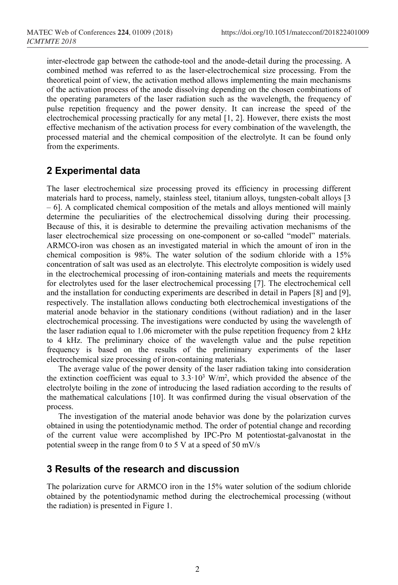inter-electrode gap between the cathode-tool and the anode-detail during the processing. A combined method was referred to as the laser-electrochemical size processing. From the theoretical point of view, the activation method allows implementing the main mechanisms of the activation process of the anode dissolving depending on the chosen combinations of the operating parameters of the laser radiation such as the wavelength, the frequency of pulse repetition frequency and the power density. It can increase the speed of the electrochemical processing practically for any metal [1, 2]. However, there exists the most effective mechanism of the activation process for every combination of the wavelength, the processed material and the chemical composition of the electrolyte. It can be found only from the experiments.

### **2 Experimental data**

The laser electrochemical size processing proved its efficiency in processing different materials hard to process, namely, stainless steel, titanium alloys, tungsten-cobalt alloys [3 – 6]. A complicated chemical composition of the metals and alloys mentioned will mainly determine the peculiarities of the electrochemical dissolving during their processing. Because of this, it is desirable to determine the prevailing activation mechanisms of the laser electrochemical size processing on one-component or so-called "model" materials. ARMCO-iron was chosen as an investigated material in which the amount of iron in the chemical composition is 98%. The water solution of the sodium chloride with a 15% concentration of salt was used as an electrolyte. This electrolyte composition is widely used in the electrochemical processing of iron-containing materials and meets the requirements for electrolytes used for the laser electrochemical processing [7]. The electrochemical cell and the installation for conducting experiments are described in detail in Papers [8] and [9], respectively. The installation allows conducting both electrochemical investigations of the material anode behavior in the stationary conditions (without radiation) and in the laser electrochemical processing. The investigations were conducted by using the wavelength of the laser radiation equal to 1.06 micrometer with the pulse repetition frequency from 2 kHz to 4 kHz. The preliminary choice of the wavelength value and the pulse repetition frequency is based on the results of the preliminary experiments of the laser electrochemical size processing of iron-containing materials.

The average value of the power density of the laser radiation taking into consideration the extinction coefficient was equal to  $3.3 \cdot 10^3$  W/m<sup>2</sup>, which provided the absence of the electrolyte boiling in the zone of introducing the lased radiation according to the results of the mathematical calculations [10]. It was confirmed during the visual observation of the process.

The investigation of the material anode behavior was done by the polarization curves obtained in using the potentiodynamic method. The order of potential change and recording of the current value were accomplished by IPC-Pro M potentiostat-galvanostat in the potential sweep in the range from 0 to 5 V at a speed of 50 mV/s

#### **3 Results of the research and discussion**

The polarization curve for ARMCO iron in the 15% water solution of the sodium chloride obtained by the potentiodynamic method during the electrochemical processing (without the radiation) is presented in Figure 1.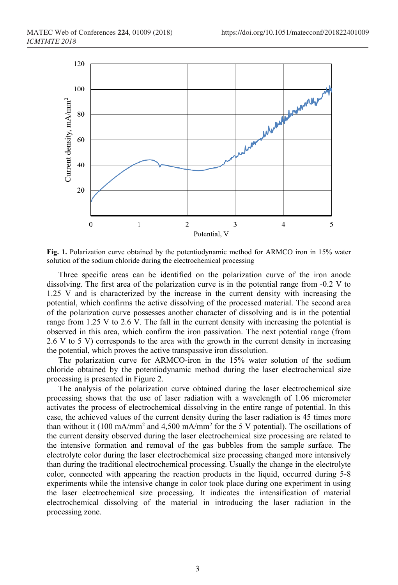

**Fig. 1.** Polarization curve obtained by the potentiodynamic method for ARMCO iron in 15% water solution of the sodium chloride during the electrochemical processing

Three specific areas can be identified on the polarization curve of the iron anode dissolving. The first area of the polarization curve is in the potential range from -0.2 V to 1.25 V and is characterized by the increase in the current density with increasing the potential, which confirms the active dissolving of the processed material. The second area of the polarization curve possesses another character of dissolving and is in the potential range from 1.25 V to 2.6 V. The fall in the current density with increasing the potential is observed in this area, which confirm the iron passivation. The next potential range (from 2.6 V to 5 V) corresponds to the area with the growth in the current density in increasing the potential, which proves the active transpassive iron dissolution.

The polarization curve for ARMCO-iron in the 15% water solution of the sodium chloride obtained by the potentiodynamic method during the laser electrochemical size processing is presented in Figure 2.

The analysis of the polarization curve obtained during the laser electrochemical size processing shows that the use of laser radiation with a wavelength of 1.06 micrometer activates the process of electrochemical dissolving in the entire range of potential. In this case, the achieved values of the current density during the laser radiation is 45 times more than without it (100 mA/mm<sup>2</sup> and 4,500 mA/mm<sup>2</sup> for the 5 V potential). The oscillations of the current density observed during the laser electrochemical size processing are related to the intensive formation and removal of the gas bubbles from the sample surface. The electrolyte color during the laser electrochemical size processing changed more intensively than during the traditional electrochemical processing. Usually the change in the electrolyte color, connected with appearing the reaction products in the liquid, occurred during 5-8 experiments while the intensive change in color took place during one experiment in using the laser electrochemical size processing. It indicates the intensification of material electrochemical dissolving of the material in introducing the laser radiation in the processing zone.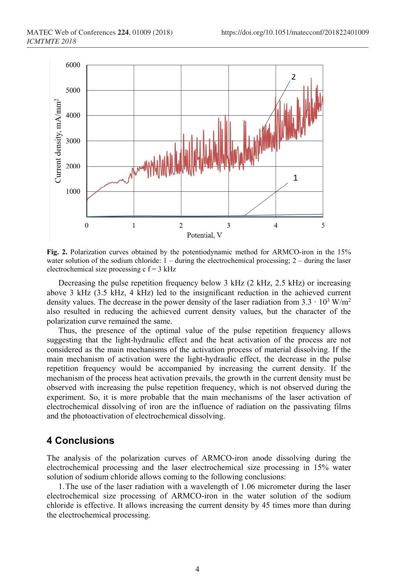

**Fig. 2.** Polarization curves obtained by the potentiodynamic method for ARMCO-iron in the 15% water solution of the sodium chloride:  $1 -$  during the electrochemical processing;  $2 -$  during the laser electrochemical size processing  $c f = 3 kHz$ 

Decreasing the pulse repetition frequency below 3 kHz (2 kHz, 2.5 kHz) or increasing above 3 kHz (3.5 kHz, 4 kHz) led to the insignificant reduction in the achieved current density values. The decrease in the power density of the laser radiation from  $3.3 \cdot 10^3$  W/m<sup>2</sup> also resulted in reducing the achieved current density values, but the character of the polarization curve remained the same.

Thus, the presence of the optimal value of the pulse repetition frequency allows suggesting that the light-hydraulic effect and the heat activation of the process are not considered as the main mechanisms of the activation process of material dissolving. If the main mechanism of activation were the light-hydraulic effect, the decrease in the pulse repetition frequency would be accompanied by increasing the current density. If the mechanism of the process heat activation prevails, the growth in the current density must be observed with increasing the pulse repetition frequency, which is not observed during the experiment. So, it is more probable that the main mechanisms of the laser activation of electrochemical dissolving of iron are the influence of radiation on the passivating films and the photoactivation of electrochemical dissolving.

## **4 Conclusions**

The analysis of the polarization curves of ARMCO-iron anode dissolving during the electrochemical processing and the laser electrochemical size processing in 15% water solution of sodium chloride allows coming to the following conclusions:

1.The use of the laser radiation with a wavelength of 1.06 micrometer during the laser electrochemical size processing of ARMCO-iron in the water solution of the sodium chloride is effective. It allows increasing the current density by 45 times more than during the electrochemical processing.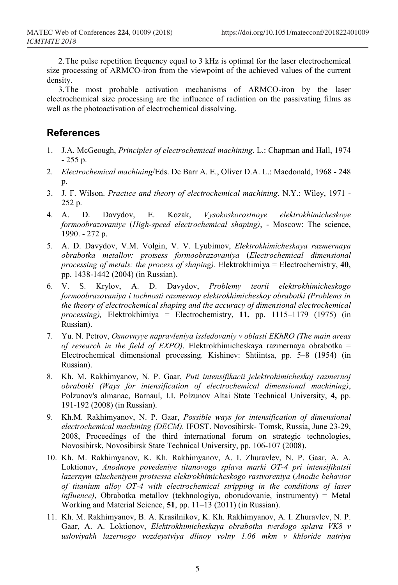2.The pulse repetition frequency equal to 3 kHz is optimal for the laser electrochemical size processing of ARMCO-iron from the viewpoint of the achieved values of the current density.

3.The most probable activation mechanisms of ARMCO-iron by the laser electrochemical size processing are the influence of radiation on the passivating films as well as the photoactivation of electrochemical dissolving.

## **References**

- 1. J.A. McGeough, *Principles of electrochemical machining*. L.: Chapman and Hall, 1974 - 255 p.
- 2. *Electrochemical machining*/Eds. De Barr A. E., Oliver D.A. L.: Macdonald, 1968 248 p.
- 3. J. F. Wilson. *Practice and theory of electrochemical machining*. N.Y.: Wiley, 1971 252 p.
- 4. А. D. Davydov, Е. Kozak, *Vysokoskorostnoye elektrokhimicheskoye formoobrazovaniye* (*High-speed electrochemical shaping)*, - Moscow: The science, 1990. - 272 р.
- 5. А. D. Davydov, V.М. Volgin, V. V. Lyubimov, *Elektrokhimicheskaya razmernaya obrabotka metallov: protsess formoobrazovaniya* (*Electrochemical dimensional processing of metals: the process of shaping)*. Elektrokhimiya = Electrochemistry, **40**, pp. 1438-1442 (2004) (in Russian).
- 6. V. S. Krylov, А. D. Davydov, *Problemy teorii elektrokhimicheskogo formoobrazovaniya i tochnosti razmernoy elektrokhimicheskoy obrabotki (Problems in the theory of electrochemical shaping and the accuracy of dimensional electrochemical processing),* Elektrokhimiya = Electrochemistry, **11,** pp. 1115–1179 (1975) (in Russian).
- 7. Yu. N. Pеtrov, *Osnovnyye napravleniya issledovaniy v oblasti EKhRO (The main areas of research in the field of EXPO)*. Elektrokhimicheskaya razmernaya obrabotka = Electrochemical dimensional processing. Kishinev: Shtiintsa, pp. 5–8 (1954) (in Russian).
- 8. Kh. M. Rakhimyanov, N. P. Gaar, *Puti intensifikacii jelektrohimicheskoj razmernoj obrabotki (Ways for intensification of electrochemical dimensional machining)*, Polzunov's almanac, Barnaul, I.I. Polzunov Altai State Technical University, **4,** рр. 191-192 (2008) (in Russian).
- 9. Kh.M. Rakhimyanov, N. P. Gaar, *Possible ways for intensification of dimensional electrochemical machining (DECM).* IFOST. Novosibirsk- Tomsk, Russia, June 23-29, 2008, Proceedings of the third international forum on strategic technologies, Novosibirsk, Novosibirsk State Technical University, pp. 106-107 (2008).
- 10. Kh. M. Rakhimyanov, K. Kh. Rakhimyanov, A. I. Zhuravlev, N. P. Gaar, A. A. Loktionov, *Anodnoye povedeniye titanovogo splava marki OT-4 pri intensifikatsii lazernym izlucheniyem protsessa elektrokhimicheskogo rastvoreniya* (*Anodic behavior of titanium alloy OT-4 with electrochemical stripping in the conditions of laser influence)*, Obrabotka metallov (tekhnologiya, oborudovanie, instrumenty) = Metal Working and Material Science, **51**, pp. 11–13 (2011) (in Russian).
- 11. Kh. M. Rakhimyanov, B. A. Krasilnikov, K. Kh. Rakhimyanov, A. I. Zhuravlev, N. P. Gaar, A. A. Loktionov, *Elektrokhimicheskaya obrabotka tverdogo splava VK8 v usloviyakh lazernogo vozdeystviya dlinoy volny 1.06 mkm v khloride natriya*